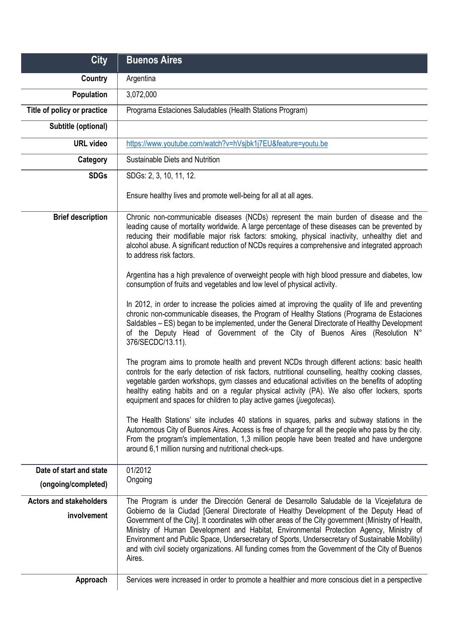| <b>City</b>                                   | <b>Buenos Aires</b>                                                                                                                                                                                                                                                                                                                                                                                                                                                                                                                                                                                      |
|-----------------------------------------------|----------------------------------------------------------------------------------------------------------------------------------------------------------------------------------------------------------------------------------------------------------------------------------------------------------------------------------------------------------------------------------------------------------------------------------------------------------------------------------------------------------------------------------------------------------------------------------------------------------|
| Country                                       | Argentina                                                                                                                                                                                                                                                                                                                                                                                                                                                                                                                                                                                                |
| Population                                    | 3,072,000                                                                                                                                                                                                                                                                                                                                                                                                                                                                                                                                                                                                |
| Title of policy or practice                   | Programa Estaciones Saludables (Health Stations Program)                                                                                                                                                                                                                                                                                                                                                                                                                                                                                                                                                 |
| Subtitle (optional)                           |                                                                                                                                                                                                                                                                                                                                                                                                                                                                                                                                                                                                          |
| <b>URL</b> video                              | https://www.youtube.com/watch?v=hVsjbk1j7EU&feature=youtu.be                                                                                                                                                                                                                                                                                                                                                                                                                                                                                                                                             |
| Category                                      | Sustainable Diets and Nutrition                                                                                                                                                                                                                                                                                                                                                                                                                                                                                                                                                                          |
| <b>SDGs</b>                                   | SDGs: 2, 3, 10, 11, 12.                                                                                                                                                                                                                                                                                                                                                                                                                                                                                                                                                                                  |
|                                               | Ensure healthy lives and promote well-being for all at all ages.                                                                                                                                                                                                                                                                                                                                                                                                                                                                                                                                         |
| <b>Brief description</b>                      | Chronic non-communicable diseases (NCDs) represent the main burden of disease and the<br>leading cause of mortality worldwide. A large percentage of these diseases can be prevented by<br>reducing their modifiable major risk factors: smoking, physical inactivity, unhealthy diet and<br>alcohol abuse. A significant reduction of NCDs requires a comprehensive and integrated approach<br>to address risk factors.                                                                                                                                                                                 |
|                                               | Argentina has a high prevalence of overweight people with high blood pressure and diabetes, low<br>consumption of fruits and vegetables and low level of physical activity.                                                                                                                                                                                                                                                                                                                                                                                                                              |
|                                               | In 2012, in order to increase the policies aimed at improving the quality of life and preventing<br>chronic non-communicable diseases, the Program of Healthy Stations (Programa de Estaciones<br>Saldables - ES) began to be implemented, under the General Directorate of Healthy Development<br>of the Deputy Head of Government of the City of Buenos Aires (Resolution N°<br>376/SECDC/13.11).                                                                                                                                                                                                      |
|                                               | The program aims to promote health and prevent NCDs through different actions: basic health<br>controls for the early detection of risk factors, nutritional counselling, healthy cooking classes,<br>vegetable garden workshops, gym classes and educational activities on the benefits of adopting<br>healthy eating habits and on a regular physical activity (PA). We also offer lockers, sports<br>equipment and spaces for children to play active games (juegotecas).                                                                                                                             |
|                                               | The Health Stations' site includes 40 stations in squares, parks and subway stations in the<br>Autonomous City of Buenos Aires. Access is free of charge for all the people who pass by the city.<br>From the program's implementation, 1,3 million people have been treated and have undergone<br>around 6,1 million nursing and nutritional check-ups.                                                                                                                                                                                                                                                 |
| Date of start and state                       | 01/2012                                                                                                                                                                                                                                                                                                                                                                                                                                                                                                                                                                                                  |
| (ongoing/completed)                           | Ongoing                                                                                                                                                                                                                                                                                                                                                                                                                                                                                                                                                                                                  |
| <b>Actors and stakeholders</b><br>involvement | The Program is under the Dirección General de Desarrollo Saludable de la Vicejefatura de<br>Gobierno de la Ciudad [General Directorate of Healthy Development of the Deputy Head of<br>Government of the City]. It coordinates with other areas of the City government (Ministry of Health,<br>Ministry of Human Development and Habitat, Environmental Protection Agency, Ministry of<br>Environment and Public Space, Undersecretary of Sports, Undersecretary of Sustainable Mobility)<br>and with civil society organizations. All funding comes from the Government of the City of Buenos<br>Aires. |
| Approach                                      | Services were increased in order to promote a healthier and more conscious diet in a perspective                                                                                                                                                                                                                                                                                                                                                                                                                                                                                                         |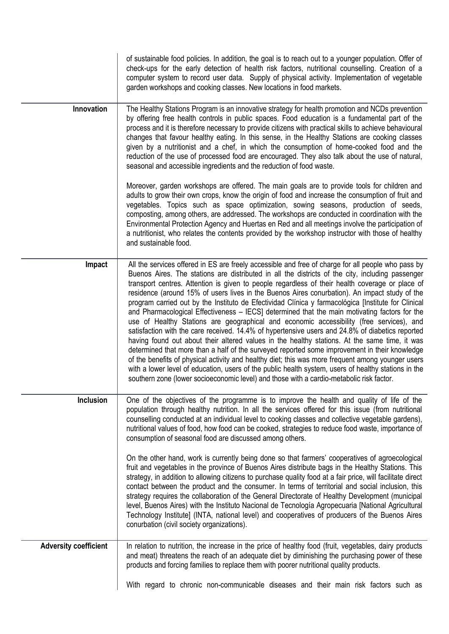|                              | of sustainable food policies. In addition, the goal is to reach out to a younger population. Offer of<br>check-ups for the early detection of health risk factors, nutritional counselling. Creation of a<br>computer system to record user data. Supply of physical activity. Implementation of vegetable<br>garden workshops and cooking classes. New locations in food markets.                                                                                                                                                                                                                                                                                                                                                                                                                                                                                                                                                                                                                                                                                                                                                                                                                                                                                                                                            |
|------------------------------|-------------------------------------------------------------------------------------------------------------------------------------------------------------------------------------------------------------------------------------------------------------------------------------------------------------------------------------------------------------------------------------------------------------------------------------------------------------------------------------------------------------------------------------------------------------------------------------------------------------------------------------------------------------------------------------------------------------------------------------------------------------------------------------------------------------------------------------------------------------------------------------------------------------------------------------------------------------------------------------------------------------------------------------------------------------------------------------------------------------------------------------------------------------------------------------------------------------------------------------------------------------------------------------------------------------------------------|
| Innovation                   | The Healthy Stations Program is an innovative strategy for health promotion and NCDs prevention<br>by offering free health controls in public spaces. Food education is a fundamental part of the<br>process and it is therefore necessary to provide citizens with practical skills to achieve behavioural<br>changes that favour healthy eating. In this sense, in the Healthy Stations are cooking classes<br>given by a nutritionist and a chef, in which the consumption of home-cooked food and the<br>reduction of the use of processed food are encouraged. They also talk about the use of natural,<br>seasonal and accessible ingredients and the reduction of food waste.                                                                                                                                                                                                                                                                                                                                                                                                                                                                                                                                                                                                                                          |
|                              | Moreover, garden workshops are offered. The main goals are to provide tools for children and<br>adults to grow their own crops, know the origin of food and increase the consumption of fruit and<br>vegetables. Topics such as space optimization, sowing seasons, production of seeds,<br>composting, among others, are addressed. The workshops are conducted in coordination with the<br>Environmental Protection Agency and Huertas en Red and all meetings involve the participation of<br>a nutritionist, who relates the contents provided by the workshop instructor with those of healthy<br>and sustainable food.                                                                                                                                                                                                                                                                                                                                                                                                                                                                                                                                                                                                                                                                                                  |
| Impact                       | All the services offered in ES are freely accessible and free of charge for all people who pass by<br>Buenos Aires. The stations are distributed in all the districts of the city, including passenger<br>transport centres. Attention is given to people regardless of their health coverage or place of<br>residence (around 15% of users lives in the Buenos Aires conurbation). An impact study of the<br>program carried out by the Instituto de Efectividad Clínica y farmacológica [Institute for Clinical<br>and Pharmacological Effectiveness - IECS] determined that the main motivating factors for the<br>use of Healthy Stations are geographical and economic accessibility (free services), and<br>satisfaction with the care received. 14.4% of hypertensive users and 24.8% of diabetics reported<br>having found out about their altered values in the healthy stations. At the same time, it was<br>determined that more than a half of the surveyed reported some improvement in their knowledge<br>of the benefits of physical activity and healthy diet; this was more frequent among younger users<br>with a lower level of education, users of the public health system, users of healthy stations in the<br>southern zone (lower socioeconomic level) and those with a cardio-metabolic risk factor. |
| <b>Inclusion</b>             | One of the objectives of the programme is to improve the health and quality of life of the<br>population through healthy nutrition. In all the services offered for this issue (from nutritional<br>counselling conducted at an individual level to cooking classes and collective vegetable gardens),<br>nutritional values of food, how food can be cooked, strategies to reduce food waste, importance of<br>consumption of seasonal food are discussed among others.                                                                                                                                                                                                                                                                                                                                                                                                                                                                                                                                                                                                                                                                                                                                                                                                                                                      |
|                              | On the other hand, work is currently being done so that farmers' cooperatives of agroecological<br>fruit and vegetables in the province of Buenos Aires distribute bags in the Healthy Stations. This<br>strategy, in addition to allowing citizens to purchase quality food at a fair price, will facilitate direct<br>contact between the product and the consumer. In terms of territorial and social inclusion, this<br>strategy requires the collaboration of the General Directorate of Healthy Development (municipal<br>level, Buenos Aires) with the Instituto Nacional de Tecnología Agropecuaria [National Agricultural<br>Technology Institute] (INTA, national level) and cooperatives of producers of the Buenos Aires<br>conurbation (civil society organizations).                                                                                                                                                                                                                                                                                                                                                                                                                                                                                                                                            |
| <b>Adversity coefficient</b> | In relation to nutrition, the increase in the price of healthy food (fruit, vegetables, dairy products<br>and meat) threatens the reach of an adequate diet by diminishing the purchasing power of these<br>products and forcing families to replace them with poorer nutritional quality products.                                                                                                                                                                                                                                                                                                                                                                                                                                                                                                                                                                                                                                                                                                                                                                                                                                                                                                                                                                                                                           |
|                              | With regard to chronic non-communicable diseases and their main risk factors such as                                                                                                                                                                                                                                                                                                                                                                                                                                                                                                                                                                                                                                                                                                                                                                                                                                                                                                                                                                                                                                                                                                                                                                                                                                          |